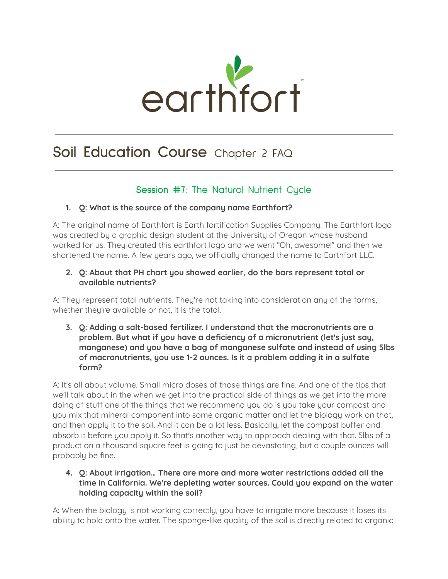

# **Soil Education Course** Chapter 2 FAQ

# **Session #7:** The Natural Nutrient Cycle

# **1. Q: What is the source of the company name Earthfort?**

A: The original name of Earthfort is Earth fortification Supplies Company. The Earthfort logo was created by a graphic design student at the University of Oregon whose husband worked for us. They created this earthfort logo and we went "Oh, awesome!" and then we shortened the name. A few years ago, we officially changed the name to Earthfort LLC.

# **2. Q: About that PH chart you showed earlier, do the bars represent total or available nutrients?**

A: They represent total nutrients. They're not taking into consideration any of the forms, whether they're available or not, it is the total.

**3. Q: Adding a salt-based fertilizer. I understand that the macronutrients are a problem. But what if you have a deficiency of a micronutrient (let's just say, manganese) and you have a bag of manganese sulfate and instead of using 5lbs of macronutrients, you use 1-2 ounces. Is it a problem adding it in a sulfate form?**

A: It's all about volume. Small micro doses of those things are fine. And one of the tips that we'll talk about in the when we get into the practical side of things as we get into the more doing of stuff one of the things that we recommend you do is you take your compost and you mix that mineral component into some organic matter and let the biology work on that, and then apply it to the soil. And it can be a lot less. Basically, let the compost buffer and absorb it before you apply it. So that's another way to approach dealing with that. 5lbs of a product on a thousand square feet is going to just be devastating, but a couple ounces will probably be fine.

## **4. Q: About irrigation… There are more and more water restrictions added all the time in California. We're depleting water sources. Could you expand on the water holding capacity within the soil?**

A: When the biology is not working correctly, you have to irrigate more because it loses its ability to hold onto the water. The sponge-like quality of the soil is directly related to organic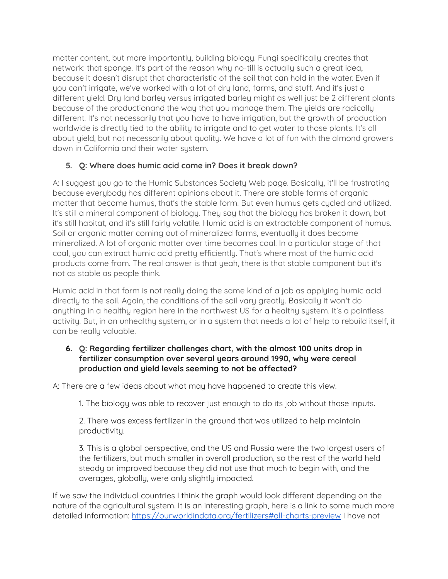matter content, but more importantly, building biology. Fungi specifically creates that network: that sponge. It's part of the reason why no-till is actually such a great idea, because it doesn't disrupt that characteristic of the soil that can hold in the water. Even if you can't irrigate, we've worked with a lot of dry land, farms, and stuff. And it's just a different yield. Dry land barley versus irrigated barley might as well just be 2 different plants because of the productionand the way that you manage them. The yields are radically different. It's not necessarily that you have to have irrigation, but the growth of production worldwide is directly tied to the ability to irrigate and to get water to those plants. It's all about yield, but not necessarily about quality. We have a lot of fun with the almond growers down in California and their water system.

# **5. Q: Where does humic acid come in? Does it break down?**

A: I suggest you go to the Humic Substances Society Web page. Basically, it'll be frustrating because everybody has different opinions about it. There are stable forms of organic matter that become humus, that's the stable form. But even humus gets cycled and utilized. It's still a mineral component of biology. They say that the biology has broken it down, but it's still habitat, and it's still fairly volatile. Humic acid is an extractable component of humus. Soil or organic matter coming out of mineralized forms, eventually it does become mineralized. A lot of organic matter over time becomes coal. In a particular stage of that coal, you can extract humic acid pretty efficiently. That's where most of the humic acid products come from. The real answer is that yeah, there is that stable component but it's not as stable as people think.

Humic acid in that form is not really doing the same kind of a job as applying humic acid directly to the soil. Again, the conditions of the soil vary greatly. Basically it won't do anything in a healthy region here in the northwest US for a healthy system. It's a pointless activity. But, in an unhealthy system, or in a system that needs a lot of help to rebuild itself, it can be really valuable.

## **6. Q: Regarding fertilizer challenges chart, with the almost 100 units drop in fertilizer consumption over several years around 1990, why were cereal production and yield levels seeming to not be affected?**

A: There are a few ideas about what may have happened to create this view.

1. The biology was able to recover just enough to do its job without those inputs.

2. There was excess fertilizer in the ground that was utilized to help maintain productivity.

3. This is a global perspective, and the US and Russia were the two largest users of the fertilizers, but much smaller in overall production, so the rest of the world held steady or improved because they did not use that much to begin with, and the averages, globally, were only slightly impacted.

If we saw the individual countries I think the graph would look different depending on the nature of the agricultural system. It is an interesting graph, here is a link to some much more detailed information: <https://ourworldindata.org/fertilizers#all-charts-preview> I have not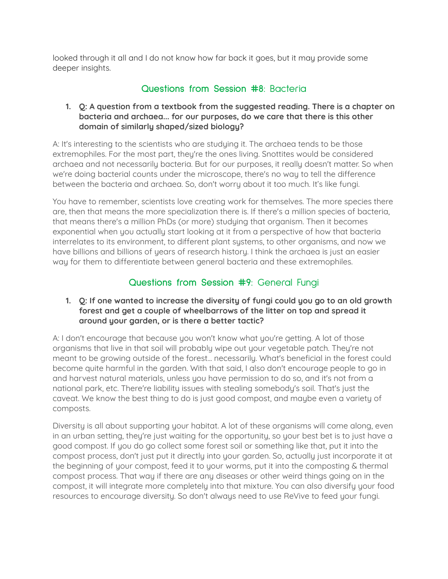looked through it all and I do not know how far back it goes, but it may provide some deeper insights.

# **Questions from Session #8:** Bacteria

#### **1. Q: A question from a textbook from the suggested reading. There is a chapter on bacteria and archaea... for our purposes, do we care that there is this other domain of similarly shaped/sized biology?**

A: It's interesting to the scientists who are studying it. The archaea tends to be those extremophiles. For the most part, they're the ones living. Snottites would be considered archaea and not necessarily bacteria. But for our purposes, it really doesn't matter. So when we're doing bacterial counts under the microscope, there's no way to tell the difference between the bacteria and archaea. So, don't worry about it too much. It's like fungi.

You have to remember, scientists love creating work for themselves. The more species there are, then that means the more specialization there is. If there's a million species of bacteria, that means there's a million PhDs (or more) studying that organism. Then it becomes exponential when you actually start looking at it from a perspective of how that bacteria interrelates to its environment, to different plant systems, to other organisms, and now we have billions and billions of years of research history. I think the archaea is just an easier way for them to differentiate between general bacteria and these extremophiles.

# **Questions from Session #9:** General Fungi

#### **1. Q: If one wanted to increase the diversity of fungi could you go to an old growth forest and get a couple of wheelbarrows of the litter on top and spread it around your garden, or is there a better tactic?**

A: I don't encourage that because you won't know what you're getting. A lot of those organisms that live in that soil will probably wipe out your vegetable patch. They're not meant to be growing outside of the forest... necessarily. What's beneficial in the forest could become quite harmful in the garden. With that said, I also don't encourage people to go in and harvest natural materials, unless you have permission to do so, and it's not from a national park, etc. There're liability issues with stealing somebody's soil. That's just the caveat. We know the best thing to do is just good compost, and maybe even a variety of composts.

Diversity is all about supporting your habitat. A lot of these organisms will come along, even in an urban setting, they're just waiting for the opportunity, so your best bet is to just have a good compost. If you do go collect some forest soil or something like that, put it into the compost process, don't just put it directly into your garden. So, actually just incorporate it at the beginning of your compost, feed it to your worms, put it into the composting & thermal compost process. That way if there are any diseases or other weird things going on in the compost, it will integrate more completely into that mixture. You can also diversify your food resources to encourage diversity. So don't always need to use ReVive to feed your fungi.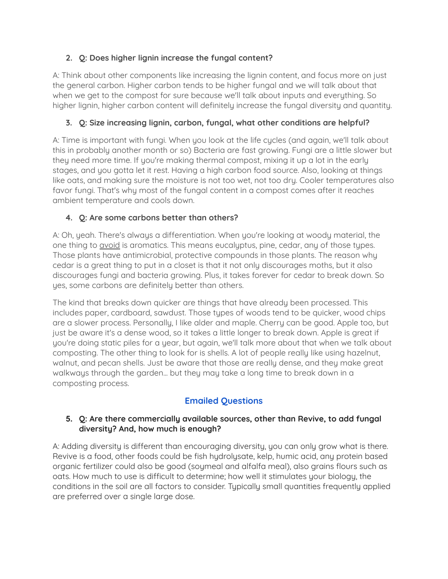# **2. Q: Does higher lignin increase the fungal content?**

A: Think about other components like increasing the lignin content, and focus more on just the general carbon. Higher carbon tends to be higher fungal and we will talk about that when we get to the compost for sure because we'll talk about inputs and everything. So higher lignin, higher carbon content will definitely increase the fungal diversity and quantity.

# **3. Q: Size increasing lignin, carbon, fungal, what other conditions are helpful?**

A: Time is important with fungi. When you look at the life cycles (and again, we'll talk about this in probably another month or so) Bacteria are fast growing. Fungi are a little slower but they need more time. If you're making thermal compost, mixing it up a lot in the early stages, and you gotta let it rest. Having a high carbon food source. Also, looking at things like oats, and making sure the moisture is not too wet, not too dry. Cooler temperatures also favor fungi. That's why most of the fungal content in a compost comes after it reaches ambient temperature and cools down.

# **4. Q: Are some carbons better than others?**

A: Oh, yeah. There's always a differentiation. When you're looking at woody material, the one thing to *avoid* is aromatics. This means eucalyptus, pine, cedar, any of those types. Those plants have antimicrobial, protective compounds in those plants. The reason why cedar is a great thing to put in a closet is that it not only discourages moths, but it also discourages fungi and bacteria growing. Plus, it takes forever for cedar to break down. So yes, some carbons are definitely better than others.

The kind that breaks down quicker are things that have already been processed. This includes paper, cardboard, sawdust. Those types of woods tend to be quicker, wood chips are a slower process. Personally, I like alder and maple. Cherry can be good. Apple too, but just be aware it's a dense wood, so it takes a little longer to break down. Apple is great if you're doing static piles for a year, but again, we'll talk more about that when we talk about composting. The other thing to look for is shells. A lot of people really like using hazelnut, walnut, and pecan shells. Just be aware that those are really dense, and they make great walkways through the garden... but they may take a long time to break down in a composting process.

# **Emailed Questions**

# **5. Q: Are there commercially available sources, other than Revive, to add fungal diversity? And, how much is enough?**

A: Adding diversity is different than encouraging diversity, you can only grow what is there. Revive is a food, other foods could be fish hydrolysate, kelp, humic acid, any protein based organic fertilizer could also be good (soymeal and alfalfa meal), also grains flours such as oats. How much to use is difficult to determine; how well it stimulates your biology, the conditions in the soil are all factors to consider. Typically small quantities frequently applied are preferred over a single large dose.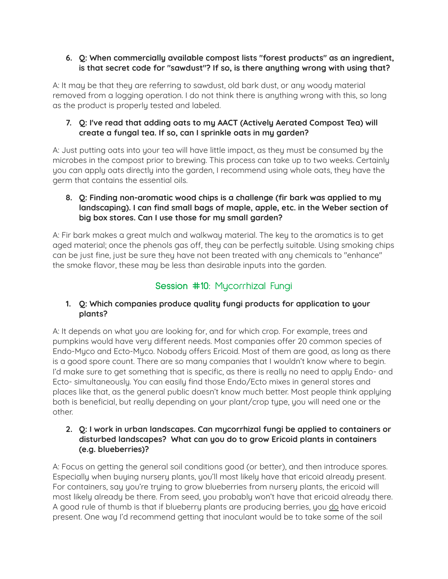## **6. Q: When commercially available compost lists "forest products" as an ingredient, is that secret code for "sawdust"? If so, is there anything wrong with using that?**

A: It may be that they are referring to sawdust, old bark dust, or any woody material removed from a logging operation. I do not think there is anything wrong with this, so long as the product is properly tested and labeled.

## **7. Q: I've read that adding oats to my AACT (Actively Aerated Compost Tea) will create a fungal tea. If so, can I sprinkle oats in my garden?**

A: Just putting oats into your tea will have little impact, as they must be consumed by the microbes in the compost prior to brewing. This process can take up to two weeks. Certainly you can apply oats directly into the garden, I recommend using whole oats, they have the germ that contains the essential oils.

## **8. Q: Finding non-aromatic wood chips is a challenge (fir bark was applied to my landscaping). I can find small bags of maple, apple, etc. in the Weber section of big box stores. Can I use those for my small garden?**

A: Fir bark makes a great mulch and walkway material. The key to the aromatics is to get aged material; once the phenols gas off, they can be perfectly suitable. Using smoking chips can be just fine, just be sure they have not been treated with any chemicals to "enhance" the smoke flavor, these may be less than desirable inputs into the garden.

# **Session #10:** Mycorrhizal Fungi

# **1. Q: Which companies produce quality fungi products for application to your plants?**

A: It depends on what you are looking for, and for which crop. For example, trees and pumpkins would have very different needs. Most companies offer 20 common species of Endo-Myco and Ecto-Myco. Nobody offers Ericoid. Most of them are good, as long as there is a good spore count. There are so many companies that I wouldn't know where to begin. I'd make sure to get something that is specific, as there is really no need to apply Endo- and Ecto- simultaneously. You can easily find those Endo/Ecto mixes in general stores and places like that, as the general public doesn't know much better. Most people think applying both is beneficial, but really depending on your plant/crop type, you will need one or the other.

# **2. Q: I work in urban landscapes. Can mycorrhizal fungi be applied to containers or disturbed landscapes? What can you do to grow Ericoid plants in containers (e.g. blueberries)?**

A: Focus on getting the general soil conditions good (or better), and then introduce spores. Especially when buying nursery plants, you'll most likely have that ericoid already present. For containers, say you're trying to grow blueberries from nursery plants, the ericoid will most likely already be there. From seed, you probably won't have that ericoid already there. A good rule of thumb is that if blueberry plants are producing berries, you do have ericoid present. One way I'd recommend getting that inoculant would be to take some of the soil